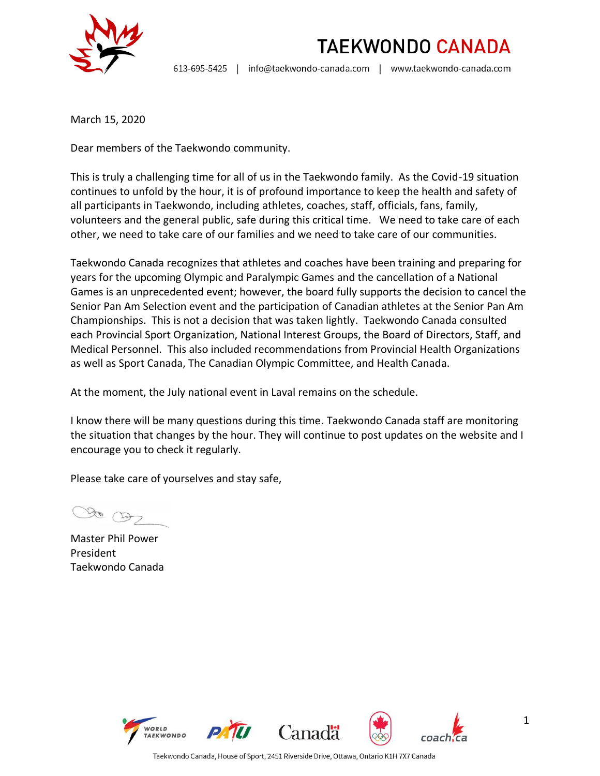

**TAEKWONDO CANADA** 

info@taekwondo-canada.com | www.taekwondo-canada.com 613-695-5425 |

March 15, 2020

Dear members of the Taekwondo community.

This is truly a challenging time for all of us in the Taekwondo family. As the Covid-19 situation continues to unfold by the hour, it is of profound importance to keep the health and safety of all participants in Taekwondo, including athletes, coaches, staff, officials, fans, family, volunteers and the general public, safe during this critical time. We need to take care of each other, we need to take care of our families and we need to take care of our communities.

Taekwondo Canada recognizes that athletes and coaches have been training and preparing for years for the upcoming Olympic and Paralympic Games and the cancellation of a National Games is an unprecedented event; however, the board fully supports the decision to cancel the Senior Pan Am Selection event and the participation of Canadian athletes at the Senior Pan Am Championships. This is not a decision that was taken lightly. Taekwondo Canada consulted each Provincial Sport Organization, National Interest Groups, the Board of Directors, Staff, and Medical Personnel. This also included recommendations from Provincial Health Organizations as well as Sport Canada, The Canadian Olympic Committee, and Health Canada.

At the moment, the July national event in Laval remains on the schedule.

I know there will be many questions during this time. Taekwondo Canada staff are monitoring the situation that changes by the hour. They will continue to post updates on the website and I encourage you to check it regularly.

Please take care of yourselves and stay safe,

to Ob

Master Phil Power President Taekwondo Canada